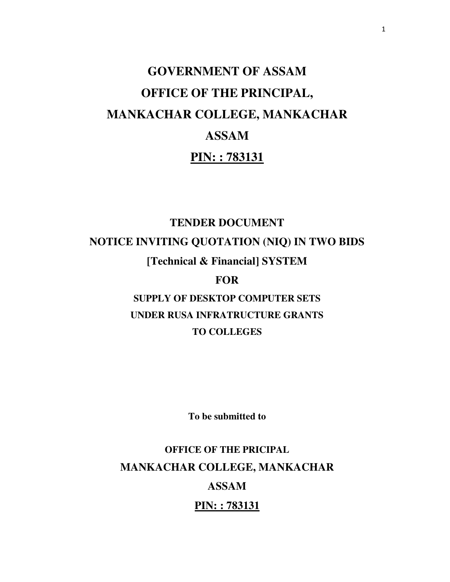# **GOVERNMENT OF ASSAM OFFICE OF THE PRINCIPAL, MANKACHAR COLLEGE, MANKACHAR ASSAM PIN: : 783131**

## **TENDER DOCUMENT NOTICE INVITING QUOTATION (NIQ) IN TWO BIDS [Technical & Financial] SYSTEM**

## **FOR**

## **SUPPLY OF DESKTOP COMPUTER SETS UNDER RUSA INFRATRUCTURE GRANTS TO COLLEGES**

**To be submitted to** 

## **OFFICE OF THE PRICIPAL MANKACHAR COLLEGE, MANKACHAR ASSAM PIN: : 783131**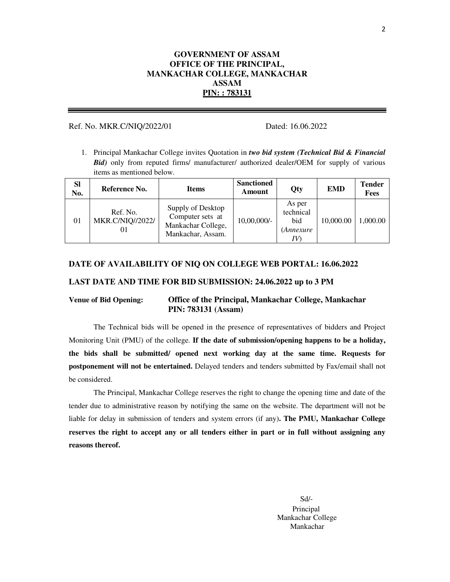#### **GOVERNMENT OF ASSAM OFFICE OF THE PRINCIPAL, MANKACHAR COLLEGE, MANKACHAR ASSAM PIN: : 783131**

#### Ref. No. MKR.C/NIQ/2022/01 Dated: 16.06.2022

1. Principal Mankachar College invites Quotation in *two bid system (Technical Bid & Financial Bid*) only from reputed firms/ manufacturer/ authorized dealer/OEM for supply of various items as mentioned below.

| <b>SI</b><br>No. | Reference No.                             | <b>Items</b>                                                                     | <b>Sanctioned</b><br>Amount | Qty                                             | <b>EMD</b> | <b>Tender</b><br><b>Fees</b> |
|------------------|-------------------------------------------|----------------------------------------------------------------------------------|-----------------------------|-------------------------------------------------|------------|------------------------------|
| 01               | Ref. No.<br><b>MKR.C/NIQ//2022/</b><br>01 | Supply of Desktop<br>Computer sets at<br>Mankachar College,<br>Mankachar, Assam. | 10,00,000/-                 | As per<br>technical<br>bid<br><i>(Annexure)</i> | 10,000.00  | 1,000.00                     |

#### **DATE OF AVAILABILITY OF NIQ ON COLLEGE WEB PORTAL: 16.06.2022**

#### **LAST DATE AND TIME FOR BID SUBMISSION: 24.06.2022 up to 3 PM**

#### **Venue of Bid Opening: Office of the Principal, Mankachar College, Mankachar PIN: 783131 (Assam)**

The Technical bids will be opened in the presence of representatives of bidders and Project Monitoring Unit (PMU) of the college. **If the date of submission/opening happens to be a holiday, the bids shall be submitted/ opened next working day at the same time. Requests for postponement will not be entertained.** Delayed tenders and tenders submitted by Fax/email shall not be considered.

The Principal, Mankachar College reserves the right to change the opening time and date of the tender due to administrative reason by notifying the same on the website. The department will not be liable for delay in submission of tenders and system errors (if any)**. The PMU, Mankachar College reserves the right to accept any or all tenders either in part or in full without assigning any reasons thereof.** 

> Sd/- Principal Mankachar College Mankachar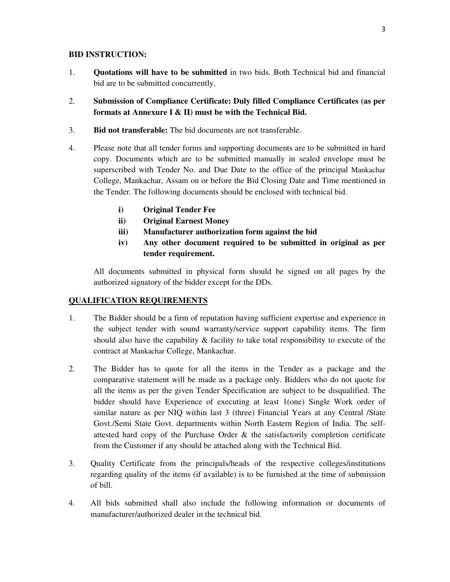#### **BID INSTRUCTION:**

- 1. **Quotations will have to be submitted** in two bids. Both Technical bid and financial bid are to be submitted concurrently.
- 2. **Submission of Compliance Certificate: Duly filled Compliance Certificates (as per formats at Annexure I & II) must be with the Technical Bid.**
- 3. **Bid not transferable:** The bid documents are not transferable.
- 4. Please note that all tender forms and supporting documents are to be submitted in hard copy. Documents which are to be submitted manually in sealed envelope must be superscribed with Tender No. and Due Date to the office of the principal Mankachar College, Mankachar, Assam on or before the Bid Closing Date and Time mentioned in the Tender. The following documents should be enclosed with technical bid.
	- **i) Original Tender Fee**
	- **ii) Original Earnest Money**
	- **iii) Manufacturer authorization form against the bid**
	- **iv) Any other document required to be submitted in original as per tender requirement.**

All documents submitted in physical form should be signed on all pages by the authorized signatory of the bidder except for the DDs.

#### **QUALIFICATION REQUIREMENTS**

- 1. The Bidder should be a firm of reputation having sufficient expertise and experience in the subject tender with sound warranty/service support capability items. The firm should also have the capability  $\&$  facility to take total responsibility to execute of the contract at Mankachar College, Mankachar.
- 2. The Bidder has to quote for all the items in the Tender as a package and the comparative statement will be made as a package only. Bidders who do not quote for all the items as per the given Tender Specification are subject to be disqualified. The bidder should have Experience of executing at least 1(one) Single Work order of similar nature as per NIQ within last 3 (three) Financial Years at any Central /State Govt./Semi State Govt. departments within North Eastern Region of India. The selfattested hard copy of the Purchase Order  $\&$  the satisfactorily completion certificate from the Customer if any should be attached along with the Technical Bid.
- 3. Quality Certificate from the principals/heads of the respective colleges/institutions regarding quality of the items (if available) is to be furnished at the time of submission of bill.
- 4. All bids submitted shall also include the following information or documents of manufacturer/authorized dealer in the technical bid.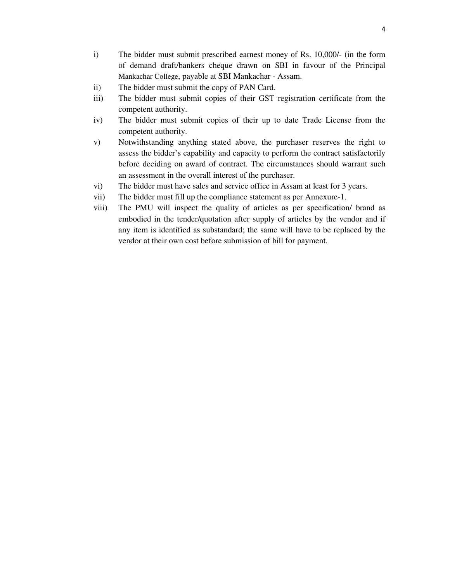- i) The bidder must submit prescribed earnest money of Rs. 10,000/- (in the form of demand draft/bankers cheque drawn on SBI in favour of the Principal Mankachar College, payable at SBI Mankachar - Assam.
- ii) The bidder must submit the copy of PAN Card.
- iii) The bidder must submit copies of their GST registration certificate from the competent authority.
- iv) The bidder must submit copies of their up to date Trade License from the competent authority.
- v) Notwithstanding anything stated above, the purchaser reserves the right to assess the bidder's capability and capacity to perform the contract satisfactorily before deciding on award of contract. The circumstances should warrant such an assessment in the overall interest of the purchaser.
- vi) The bidder must have sales and service office in Assam at least for 3 years.
- vii) The bidder must fill up the compliance statement as per Annexure-1.
- viii) The PMU will inspect the quality of articles as per specification/ brand as embodied in the tender/quotation after supply of articles by the vendor and if any item is identified as substandard; the same will have to be replaced by the vendor at their own cost before submission of bill for payment.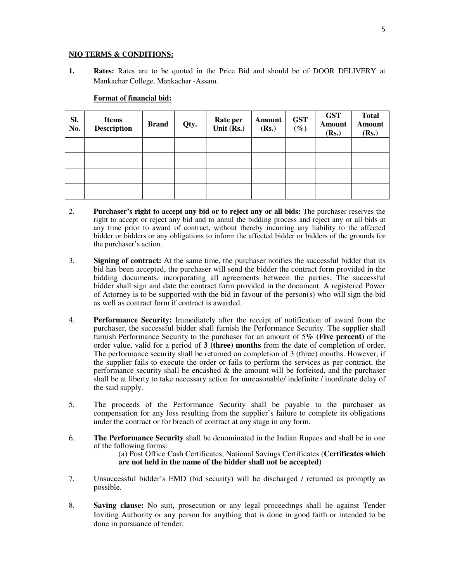#### **NIQ TERMS & CONDITIONS:**

**1. Rates:** Rates are to be quoted in the Price Bid and should be of DOOR DELIVERY at Mankachar College, Mankachar -Assam.

#### **Format of financial bid:**

| Sl.<br>No. | <b>Items</b><br><b>Description</b> | <b>Brand</b> | Qty. | Rate per<br>Unit $(Rs.)$ | <b>Amount</b><br>(Rs.) | <b>GST</b><br>$(\%)$ | <b>GST</b><br><b>Amount</b><br>(Rs.) | <b>Total</b><br>Amount<br>(Rs.) |
|------------|------------------------------------|--------------|------|--------------------------|------------------------|----------------------|--------------------------------------|---------------------------------|
|            |                                    |              |      |                          |                        |                      |                                      |                                 |
|            |                                    |              |      |                          |                        |                      |                                      |                                 |
|            |                                    |              |      |                          |                        |                      |                                      |                                 |
|            |                                    |              |      |                          |                        |                      |                                      |                                 |

- 2. **Purchaser's right to accept any bid or to reject any or all bids:** The purchaser reserves the right to accept or reject any bid and to annul the bidding process and reject any or all bids at any time prior to award of contract, without thereby incurring any liability to the affected bidder or bidders or any obligations to inform the affected bidder or bidders of the grounds for the purchaser's action.
- 3. **Signing of contract:** At the same time, the purchaser notifies the successful bidder that its bid has been accepted, the purchaser will send the bidder the contract form provided in the bidding documents, incorporating all agreements between the parties. The successful bidder shall sign and date the contract form provided in the document. A registered Power of Attorney is to be supported with the bid in favour of the person(s) who will sign the bid as well as contract form if contract is awarded.
- 4. **Performance Security:** Immediately after the receipt of notification of award from the purchaser, the successful bidder shall furnish the Performance Security. The supplier shall furnish Performance Security to the purchaser for an amount of 5**% (Five percent)** of the order value, valid for a period of **3 (three) months** from the date of completion of order. The performance security shall be returned on completion of 3 (three) months. However, if the supplier fails to execute the order or fails to perform the services as per contract, the performance security shall be encashed & the amount will be forfeited, and the purchaser shall be at liberty to take necessary action for unreasonable/ indefinite / inordinate delay of the said supply.
- 5. The proceeds of the Performance Security shall be payable to the purchaser as compensation for any loss resulting from the supplier's failure to complete its obligations under the contract or for breach of contract at any stage in any form.
- 6. **The Performance Security** shall be denominated in the Indian Rupees and shall be in one of the following forms: (a) Post Office Cash Certificates, National Savings Certificates (**Certificates which are not held in the name of the bidder shall not be accepted)**
- 7. Unsuccessful bidder's EMD (bid security) will be discharged / returned as promptly as possible.
- 8. **Saving clause:** No suit, prosecution or any legal proceedings shall lie against Tender Inviting Authority or any person for anything that is done in good faith or intended to be done in pursuance of tender.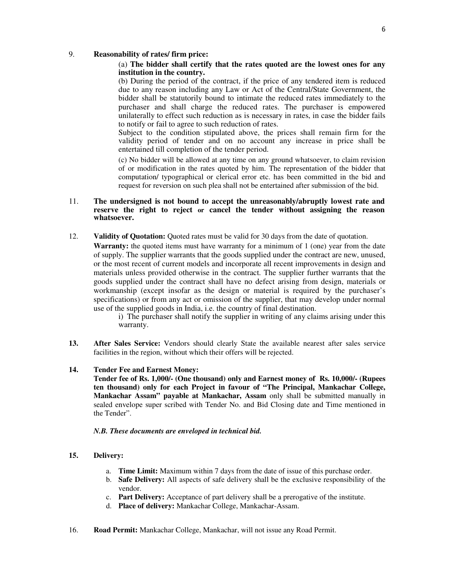#### 9. **Reasonability of rates/ firm price:**

#### (a) **The bidder shall certify that the rates quoted are the lowest ones for any institution in the country.**

(b) During the period of the contract, if the price of any tendered item is reduced due to any reason including any Law or Act of the Central/State Government, the bidder shall be statutorily bound to intimate the reduced rates immediately to the purchaser and shall charge the reduced rates. The purchaser is empowered unilaterally to effect such reduction as is necessary in rates, in case the bidder fails to notify or fail to agree to such reduction of rates.

Subject to the condition stipulated above, the prices shall remain firm for the validity period of tender and on no account any increase in price shall be entertained till completion of the tender period.

(c) No bidder will be allowed at any time on any ground whatsoever, to claim revision of or modification in the rates quoted by him. The representation of the bidder that computation/ typographical or clerical error etc. has been committed in the bid and request for reversion on such plea shall not be entertained after submission of the bid.

#### 11. **The undersigned is not bound to accept the unreasonably/abruptly lowest rate and reserve the right to reject or cancel the tender without assigning the reason whatsoever.**

12. **Validity of Quotation:** Quoted rates must be valid for 30 days from the date of quotation.

**Warranty:** the quoted items must have warranty for a minimum of 1 (one) year from the date of supply. The supplier warrants that the goods supplied under the contract are new, unused, or the most recent of current models and incorporate all recent improvements in design and materials unless provided otherwise in the contract. The supplier further warrants that the goods supplied under the contract shall have no defect arising from design, materials or workmanship (except insofar as the design or material is required by the purchaser's specifications) or from any act or omission of the supplier, that may develop under normal use of the supplied goods in India, i.e. the country of final destination.

> i) The purchaser shall notify the supplier in writing of any claims arising under this warranty.

13. After Sales Service: Vendors should clearly State the available nearest after sales service facilities in the region, without which their offers will be rejected.

#### **14. Tender Fee and Earnest Money:**

**Tender fee of Rs. 1,000/- (One thousand) only and Earnest money of Rs. 10,000/- (Rupees ten thousand) only for each Project in favour of "The Principal, Mankachar College, Mankachar Assam" payable at Mankachar, Assam** only shall be submitted manually in sealed envelope super scribed with Tender No. and Bid Closing date and Time mentioned in the Tender".

#### *N.B. These documents are enveloped in technical bid.*

#### **15. Delivery:**

- a. **Time Limit:** Maximum within 7 days from the date of issue of this purchase order.
- b. **Safe Delivery:** All aspects of safe delivery shall be the exclusive responsibility of the vendor.
- c. **Part Delivery:** Acceptance of part delivery shall be a prerogative of the institute.
- d. **Place of delivery:** Mankachar College, Mankachar-Assam.
- 16. **Road Permit:** Mankachar College, Mankachar, will not issue any Road Permit.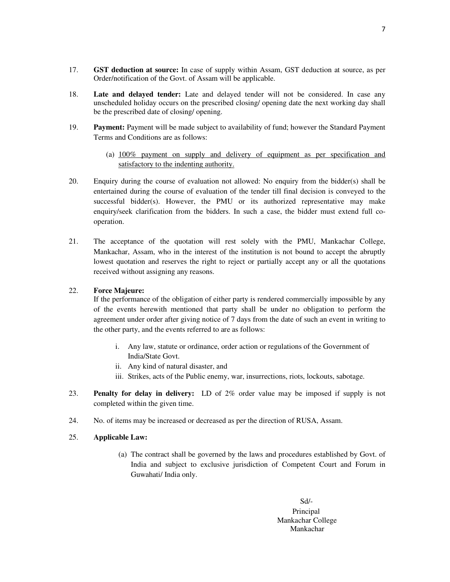- 17. **GST deduction at source:** In case of supply within Assam, GST deduction at source, as per Order/notification of the Govt. of Assam will be applicable.
- 18. **Late and delayed tender:** Late and delayed tender will not be considered. In case any unscheduled holiday occurs on the prescribed closing/ opening date the next working day shall be the prescribed date of closing/ opening.
- 19. **Payment:** Payment will be made subject to availability of fund; however the Standard Payment Terms and Conditions are as follows:
	- (a) 100% payment on supply and delivery of equipment as per specification and satisfactory to the indenting authority.
- 20. Enquiry during the course of evaluation not allowed: No enquiry from the bidder(s) shall be entertained during the course of evaluation of the tender till final decision is conveyed to the successful bidder(s). However, the PMU or its authorized representative may make enquiry/seek clarification from the bidders. In such a case, the bidder must extend full cooperation.
- 21. The acceptance of the quotation will rest solely with the PMU, Mankachar College, Mankachar, Assam, who in the interest of the institution is not bound to accept the abruptly lowest quotation and reserves the right to reject or partially accept any or all the quotations received without assigning any reasons.

#### 22. **Force Majeure:**

If the performance of the obligation of either party is rendered commercially impossible by any of the events herewith mentioned that party shall be under no obligation to perform the agreement under order after giving notice of 7 days from the date of such an event in writing to the other party, and the events referred to are as follows:

- i. Any law, statute or ordinance, order action or regulations of the Government of India/State Govt.
- ii. Any kind of natural disaster, and
- iii. Strikes, acts of the Public enemy, war, insurrections, riots, lockouts, sabotage.
- 23. **Penalty for delay in delivery:** LD of 2% order value may be imposed if supply is not completed within the given time.
- 24. No. of items may be increased or decreased as per the direction of RUSA, Assam.

#### 25. **Applicable Law:**

(a) The contract shall be governed by the laws and procedures established by Govt. of India and subject to exclusive jurisdiction of Competent Court and Forum in Guwahati/ India only.

> Sd/- Principal Mankachar College Mankachar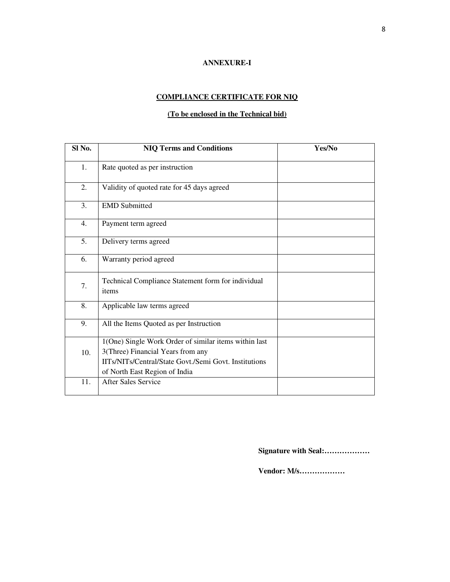#### **ANNEXURE-I**

## **COMPLIANCE CERTIFICATE FOR NIQ**

### **(To be enclosed in the Technical bid)**

| Sl No. | <b>NIQ Terms and Conditions</b>                                                                                                                                                      | Yes/No |
|--------|--------------------------------------------------------------------------------------------------------------------------------------------------------------------------------------|--------|
| 1.     | Rate quoted as per instruction                                                                                                                                                       |        |
| 2.     | Validity of quoted rate for 45 days agreed                                                                                                                                           |        |
| 3.     | <b>EMD</b> Submitted                                                                                                                                                                 |        |
| 4.     | Payment term agreed                                                                                                                                                                  |        |
| 5.     | Delivery terms agreed                                                                                                                                                                |        |
| 6.     | Warranty period agreed                                                                                                                                                               |        |
| 7.     | Technical Compliance Statement form for individual<br>items                                                                                                                          |        |
| 8.     | Applicable law terms agreed                                                                                                                                                          |        |
| 9.     | All the Items Quoted as per Instruction                                                                                                                                              |        |
| 10.    | 1(One) Single Work Order of similar items within last<br>3(Three) Financial Years from any<br>IITs/NITs/Central/State Govt./Semi Govt. Institutions<br>of North East Region of India |        |
| 11.    | <b>After Sales Service</b>                                                                                                                                                           |        |

**Signature with Seal:………………**

**Vendor: M/s………………**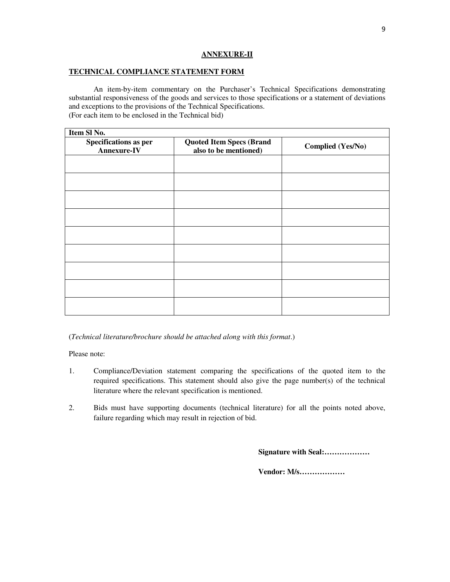#### **ANNEXURE-II**

#### **TECHNICAL COMPLIANCE STATEMENT FORM**

An item-by-item commentary on the Purchaser's Technical Specifications demonstrating substantial responsiveness of the goods and services to those specifications or a statement of deviations and exceptions to the provisions of the Technical Specifications. (For each item to be enclosed in the Technical bid)

| Item Sl No.                                              |                          |  |  |  |  |  |
|----------------------------------------------------------|--------------------------|--|--|--|--|--|
| <b>Quoted Item Specs (Brand</b><br>also to be mentioned) | <b>Complied (Yes/No)</b> |  |  |  |  |  |
|                                                          |                          |  |  |  |  |  |
|                                                          |                          |  |  |  |  |  |
|                                                          |                          |  |  |  |  |  |
|                                                          |                          |  |  |  |  |  |
|                                                          |                          |  |  |  |  |  |
|                                                          |                          |  |  |  |  |  |
|                                                          |                          |  |  |  |  |  |
|                                                          |                          |  |  |  |  |  |
|                                                          |                          |  |  |  |  |  |
|                                                          |                          |  |  |  |  |  |

(*Technical literature/brochure should be attached along with this format*.)

Please note:

- 1. Compliance/Deviation statement comparing the specifications of the quoted item to the required specifications. This statement should also give the page number(s) of the technical literature where the relevant specification is mentioned.
- 2. Bids must have supporting documents (technical literature) for all the points noted above, failure regarding which may result in rejection of bid.

**Signature with Seal:………………**

**Vendor: M/s………………**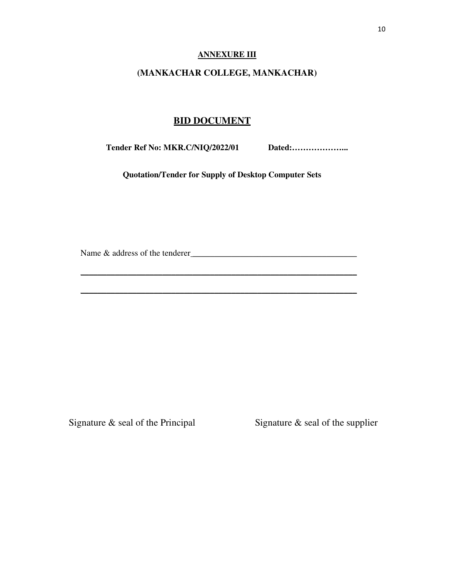#### **ANNEXURE III**

### **(MANKACHAR COLLEGE, MANKACHAR)**

### **BID DOCUMENT**

**Tender Ref No: MKR.C/NIQ/2022/01 Dated:………………...** 

 **Quotation/Tender for Supply of Desktop Computer Sets** 

\_\_\_\_\_\_\_\_\_\_\_\_\_\_\_\_\_\_\_\_\_\_\_\_\_\_\_\_\_\_\_\_\_\_\_\_\_\_\_\_\_\_\_\_\_\_\_\_\_\_\_\_\_\_\_\_\_\_\_\_\_\_\_\_

\_\_\_\_\_\_\_\_\_\_\_\_\_\_\_\_\_\_\_\_\_\_\_\_\_\_\_\_\_\_\_\_\_\_\_\_\_\_\_\_\_\_\_\_\_\_\_\_\_\_\_\_\_\_\_\_\_\_\_\_\_\_\_\_

Name & address of the tenderer \_\_\_\_\_\_\_\_\_\_\_\_\_\_\_\_\_\_\_\_\_\_\_\_\_\_\_\_\_\_\_\_\_\_\_\_\_\_

Signature & seal of the Principal Signature & seal of the supplier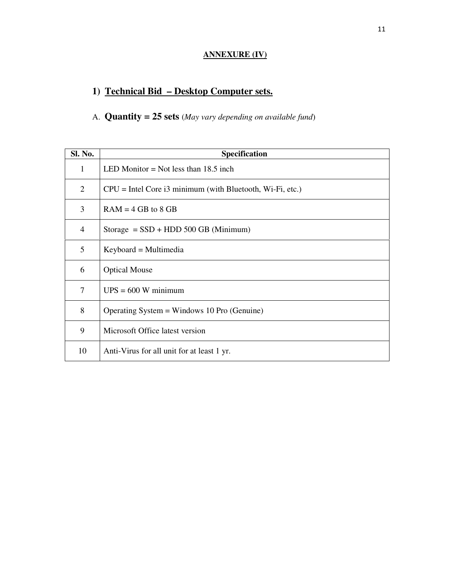## **ANNEXURE (IV)**

## **1) Technical Bid – Desktop Computer sets.**

## A. **Quantity = 25 sets** (*May vary depending on available fund*)

| Sl. No.        | <b>Specification</b>                                        |
|----------------|-------------------------------------------------------------|
| 1              | LED Monitor = Not less than $18.5$ inch                     |
| 2              | $CPU = Intel Core i3 minimum (with Bluetooth, Wi-Fi, etc.)$ |
| 3              | $RAM = 4 GB to 8 GB$                                        |
| $\overline{4}$ | Storage $=$ SSD + HDD 500 GB (Minimum)                      |
| 5              | $Keyboard = Multimedia$                                     |
| 6              | <b>Optical Mouse</b>                                        |
| 7              | $UPS = 600 W minimum$                                       |
| 8              | Operating System = Windows 10 Pro (Genuine)                 |
| 9              | Microsoft Office latest version                             |
| 10             | Anti-Virus for all unit for at least 1 yr.                  |